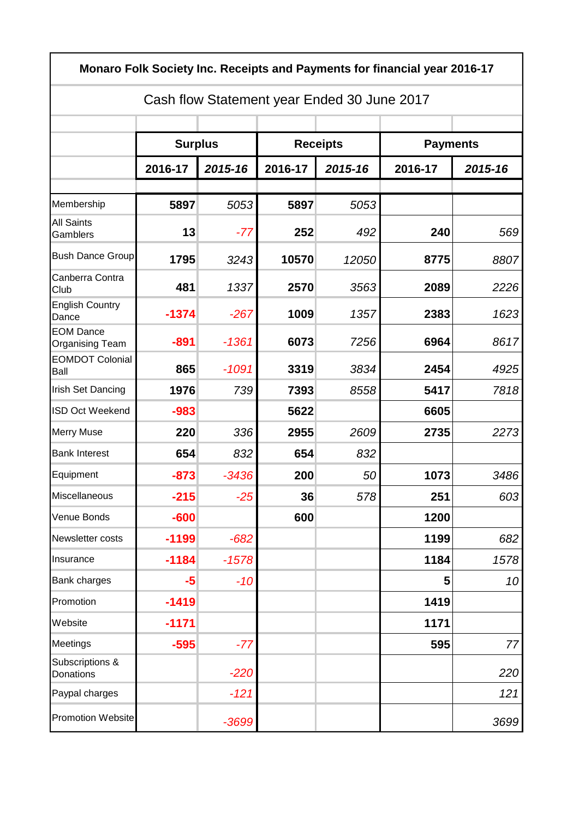| Monaro Folk Society Inc. Receipts and Payments for financial year 2016-17<br>Cash flow Statement year Ended 30 June 2017 |         |         |         |         |         |                 |  |  |  |
|--------------------------------------------------------------------------------------------------------------------------|---------|---------|---------|---------|---------|-----------------|--|--|--|
|                                                                                                                          |         |         |         |         |         |                 |  |  |  |
|                                                                                                                          | 2016-17 | 2015-16 | 2016-17 | 2015-16 | 2016-17 | 2015-16         |  |  |  |
| Membership                                                                                                               | 5897    | 5053    | 5897    | 5053    |         |                 |  |  |  |
| <b>All Saints</b><br>Gamblers                                                                                            | 13      | $-77$   | 252     | 492     | 240     | 569             |  |  |  |
| <b>Bush Dance Group</b>                                                                                                  | 1795    | 3243    | 10570   | 12050   | 8775    | 8807            |  |  |  |
| Canberra Contra<br>Club                                                                                                  | 481     | 1337    | 2570    | 3563    | 2089    | 2226            |  |  |  |
| <b>English Country</b><br>Dance                                                                                          | $-1374$ | $-267$  | 1009    | 1357    | 2383    | 1623            |  |  |  |
| <b>EOM Dance</b><br>Organising Team                                                                                      | $-891$  | $-1361$ | 6073    | 7256    | 6964    | 8617            |  |  |  |
| <b>EOMDOT Colonial</b><br>Ball                                                                                           | 865     | $-1091$ | 3319    | 3834    | 2454    | 4925            |  |  |  |
| <b>Irish Set Dancing</b>                                                                                                 | 1976    | 739     | 7393    | 8558    | 5417    | 7818            |  |  |  |
| ISD Oct Weekend                                                                                                          | $-983$  |         | 5622    |         | 6605    |                 |  |  |  |
| <b>Merry Muse</b>                                                                                                        | 220     | 336     | 2955    | 2609    | 2735    | 2273            |  |  |  |
| <b>Bank Interest</b>                                                                                                     | 654     | 832     | 654     | 832     |         |                 |  |  |  |
| Equipment                                                                                                                | $-873$  | $-3436$ | 200     | 50      | 1073    | 3486            |  |  |  |
| Miscellaneous                                                                                                            | $-215$  | $-25$   | 36      | 578     | 251     | 603             |  |  |  |
| Venue Bonds                                                                                                              | $-600$  |         | 600     |         | 1200    |                 |  |  |  |
| Newsletter costs                                                                                                         | $-1199$ | $-682$  |         |         | 1199    | 682             |  |  |  |
| Insurance                                                                                                                | $-1184$ | $-1578$ |         |         | 1184    | 1578            |  |  |  |
| <b>Bank charges</b>                                                                                                      | $-5$    | $-10$   |         |         | 5       | 10 <sup>1</sup> |  |  |  |
| Promotion                                                                                                                | $-1419$ |         |         |         | 1419    |                 |  |  |  |
| Website                                                                                                                  | $-1171$ |         |         |         | 1171    |                 |  |  |  |
| Meetings                                                                                                                 | $-595$  | $-77$   |         |         | 595     | 77              |  |  |  |
| Subscriptions &<br>Donations                                                                                             |         | $-220$  |         |         |         | 220             |  |  |  |
| Paypal charges                                                                                                           |         | $-121$  |         |         |         | 121             |  |  |  |
| <b>Promotion Website</b>                                                                                                 |         | $-3699$ |         |         |         | 3699            |  |  |  |